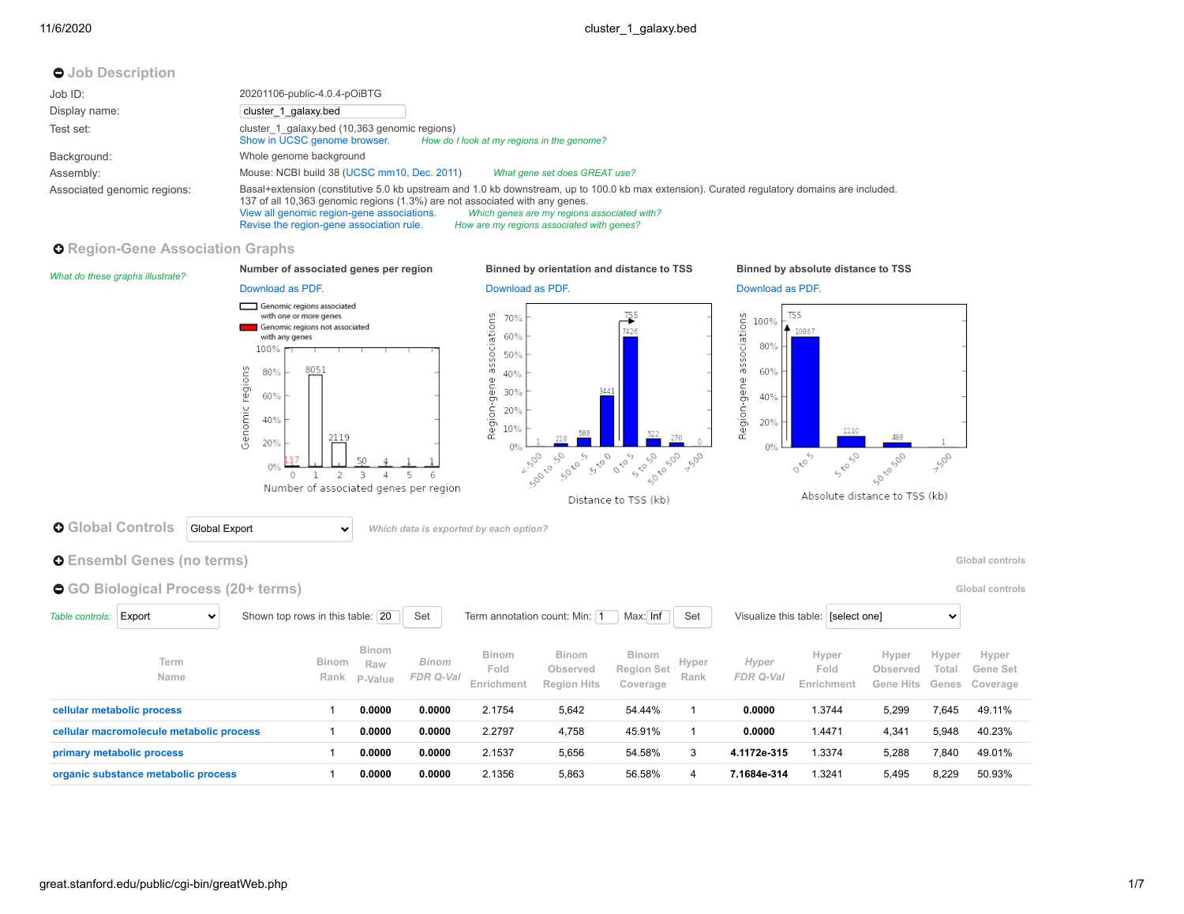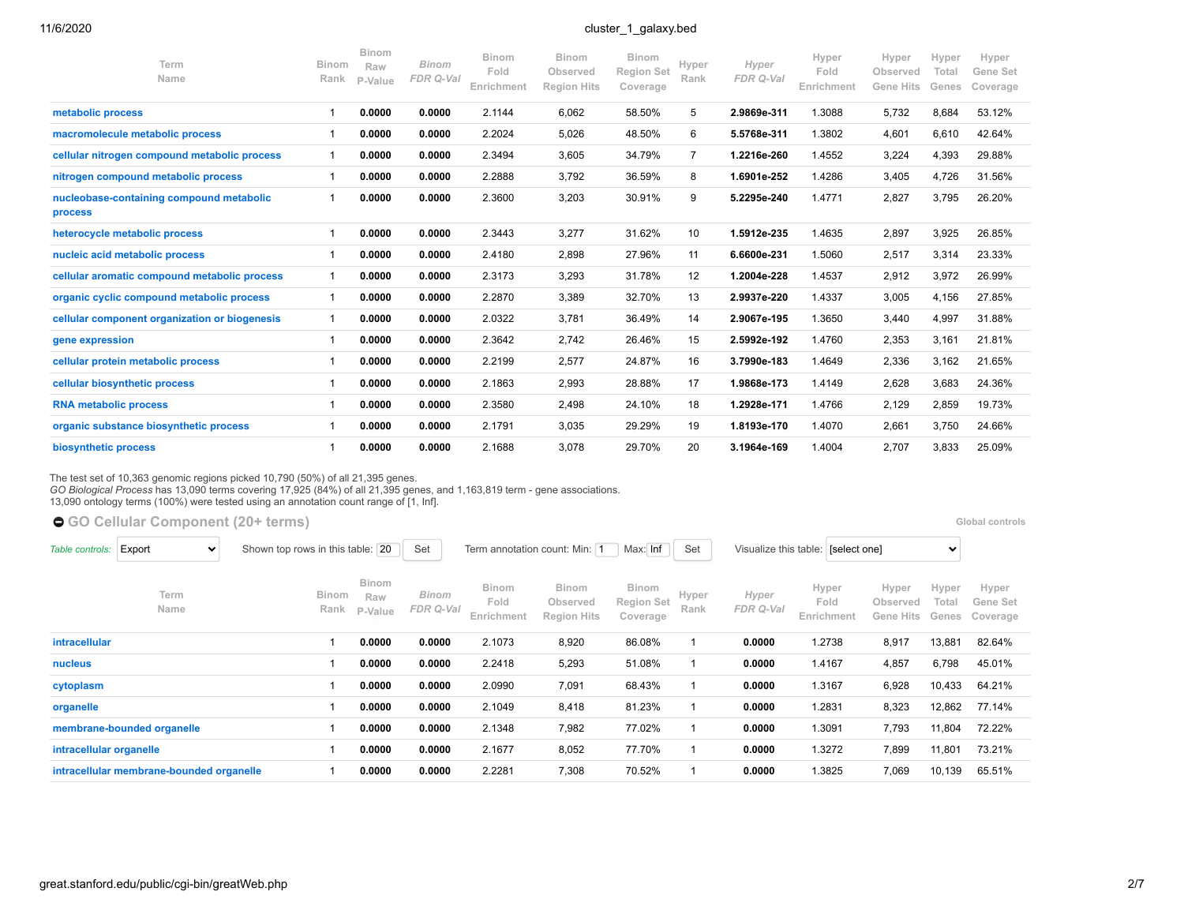| Term<br>Name                                        | <b>Binom</b><br>Rank | <b>Binom</b><br>Raw<br>P-Value | <b>Binom</b><br>FDR Q-Val | Binom<br>Fold<br>Enrichment | <b>Binom</b><br>Observed<br><b>Region Hits</b> | <b>Binom</b><br><b>Region Set</b><br>Coverage | Hyper<br>Rank  | Hyper<br>FDR Q-Val | Hyper<br>Fold<br>Enrichment | Hyper<br>Observed<br><b>Gene Hits</b> | Hyper<br>Total<br>Genes | Hyper<br>Gene Set<br>Coverage |  |
|-----------------------------------------------------|----------------------|--------------------------------|---------------------------|-----------------------------|------------------------------------------------|-----------------------------------------------|----------------|--------------------|-----------------------------|---------------------------------------|-------------------------|-------------------------------|--|
| metabolic process                                   |                      | 0.0000                         | 0.0000                    | 2.1144                      | 6,062                                          | 58.50%                                        | 5              | 2.9869e-311        | 1.3088                      | 5,732                                 | 8,684                   | 53.12%                        |  |
| macromolecule metabolic process                     |                      | 0.0000                         | 0.0000                    | 2.2024                      | 5,026                                          | 48.50%                                        | 6              | 5.5768e-311        | 1.3802                      | 4,601                                 | 6,610                   | 42.64%                        |  |
| cellular nitrogen compound metabolic process        | 1                    | 0.0000                         | 0.0000                    | 2.3494                      | 3,605                                          | 34.79%                                        | $\overline{7}$ | 1.2216e-260        | 1.4552                      | 3,224                                 | 4,393                   | 29.88%                        |  |
| nitrogen compound metabolic process                 | 1                    | 0.0000                         | 0.0000                    | 2.2888                      | 3,792                                          | 36.59%                                        | 8              | 1.6901e-252        | 1.4286                      | 3,405                                 | 4,726                   | 31.56%                        |  |
| nucleobase-containing compound metabolic<br>process |                      | 0.0000                         | 0.0000                    | 2.3600                      | 3,203                                          | 30.91%                                        | 9              | 5.2295e-240        | 1.4771                      | 2,827                                 | 3,795                   | 26.20%                        |  |
| heterocycle metabolic process                       |                      | 0.0000                         | 0.0000                    | 2.3443                      | 3,277                                          | 31.62%                                        | 10             | 1.5912e-235        | 1.4635                      | 2,897                                 | 3,925                   | 26.85%                        |  |
| nucleic acid metabolic process                      |                      | 0.0000                         | 0.0000                    | 2.4180                      | 2,898                                          | 27.96%                                        | 11             | 6.6600e-231        | 1.5060                      | 2,517                                 | 3,314                   | 23.33%                        |  |
| cellular aromatic compound metabolic process        | $\overline{1}$       | 0.0000                         | 0.0000                    | 2.3173                      | 3,293                                          | 31.78%                                        | 12             | 1.2004e-228        | 1.4537                      | 2,912                                 | 3,972                   | 26.99%                        |  |
| organic cyclic compound metabolic process           |                      | 0.0000                         | 0.0000                    | 2.2870                      | 3,389                                          | 32.70%                                        | 13             | 2.9937e-220        | 1.4337                      | 3,005                                 | 4,156                   | 27.85%                        |  |
| cellular component organization or biogenesis       |                      | 0.0000                         | 0.0000                    | 2.0322                      | 3,781                                          | 36.49%                                        | 14             | 2.9067e-195        | 1.3650                      | 3,440                                 | 4,997                   | 31.88%                        |  |
| gene expression                                     |                      | 0.0000                         | 0.0000                    | 2.3642                      | 2,742                                          | 26.46%                                        | 15             | 2.5992e-192        | 1.4760                      | 2,353                                 | 3,161                   | 21.81%                        |  |
| cellular protein metabolic process                  |                      | 0.0000                         | 0.0000                    | 2.2199                      | 2,577                                          | 24.87%                                        | 16             | 3.7990e-183        | 1.4649                      | 2,336                                 | 3,162                   | 21.65%                        |  |
| cellular biosynthetic process                       |                      | 0.0000                         | 0.0000                    | 2.1863                      | 2,993                                          | 28.88%                                        | 17             | 1.9868e-173        | 1.4149                      | 2,628                                 | 3,683                   | 24.36%                        |  |
| <b>RNA metabolic process</b>                        |                      | 0.0000                         | 0.0000                    | 2.3580                      | 2,498                                          | 24.10%                                        | 18             | 1.2928e-171        | 1.4766                      | 2,129                                 | 2,859                   | 19.73%                        |  |
| organic substance biosynthetic process              |                      | 0.0000                         | 0.0000                    | 2.1791                      | 3,035                                          | 29.29%                                        | 19             | 1.8193e-170        | 1.4070                      | 2,661                                 | 3,750                   | 24.66%                        |  |
| biosynthetic process                                |                      | 0.0000                         | 0.0000                    | 2.1688                      | 3.078                                          | 29.70%                                        | 20             | 3.1964e-169        | 1.4004                      | 2.707                                 | 3,833                   | 25.09%                        |  |

The test set of 10,363 genomic regions picked 10,790 (50%) of all 21,395 genes.<br>*GO Biological Process* has 13,090 terms covering 17,925 (84%) of all 21,395 genes, and 1,163,819 term - gene associations.<br>13,090 ontology te

● [GO Cellular Component](https://great-help.atlassian.net/wiki/spaces/GREAT/Gene+Ontology) (20+ terms) **blood controls and the controls and the controls controls and the controls <b>Global controls Global controls** 

| Table controls:         | Export                                   | $\checkmark$ | Shown top rows in this table: 20 |                                | Set                |                             | Term annotation count: Min: 1                  | Max: Inf                                      | Set           |                    | Visualize this table: [select one] |                                | $\checkmark$            |                               |
|-------------------------|------------------------------------------|--------------|----------------------------------|--------------------------------|--------------------|-----------------------------|------------------------------------------------|-----------------------------------------------|---------------|--------------------|------------------------------------|--------------------------------|-------------------------|-------------------------------|
|                         | Term<br>Name                             |              | Binom<br>Rank                    | <b>Binom</b><br>Raw<br>P-Value | Binom<br>FDR Q-Val | Binom<br>Fold<br>Enrichment | <b>Binom</b><br>Observed<br><b>Region Hits</b> | <b>Binom</b><br><b>Region Set</b><br>Coverage | Hyper<br>Rank | Hyper<br>FDR Q-Val | Hyper<br>Fold<br>Enrichment        | Hyper<br>Observed<br>Gene Hits | Hyper<br>Total<br>Genes | Hyper<br>Gene Set<br>Coverage |
| <i>intracellular</i>    |                                          |              |                                  | 0.0000                         | 0.0000             | 2.1073                      | 8,920                                          | 86.08%                                        |               | 0.0000             | 1.2738                             | 8,917                          | 13,881                  | 82.64%                        |
| nucleus                 |                                          |              |                                  | 0.0000                         | 0.0000             | 2.2418                      | 5,293                                          | 51.08%                                        |               | 0.0000             | 1.4167                             | 4,857                          | 6,798                   | 45.01%                        |
| cytoplasm               |                                          |              |                                  | 0.0000                         | 0.0000             | 2.0990                      | 7,091                                          | 68.43%                                        |               | 0.0000             | 1.3167                             | 6,928                          | 10,433                  | 64.21%                        |
| organelle               |                                          |              |                                  | 0.0000                         | 0.0000             | 2.1049                      | 8,418                                          | 81.23%                                        |               | 0.0000             | 1.2831                             | 8,323                          | 12,862                  | 77.14%                        |
|                         | membrane-bounded organelle               |              |                                  | 0.0000                         | 0.0000             | 2.1348                      | 7,982                                          | 77.02%                                        |               | 0.0000             | 1.3091                             | 7,793                          | 11,804                  | 72.22%                        |
| intracellular organelle |                                          |              |                                  | 0.0000                         | 0.0000             | 2.1677                      | 8,052                                          | 77.70%                                        |               | 0.0000             | 1.3272                             | 7,899                          | 11,801                  | 73.21%                        |
|                         | intracellular membrane-bounded organelle |              |                                  | 0.0000                         | 0.0000             | 2.2281                      | 7,308                                          | 70.52%                                        |               | 0.0000             | 1.3825                             | 7,069                          | 10,139                  | 65.51%                        |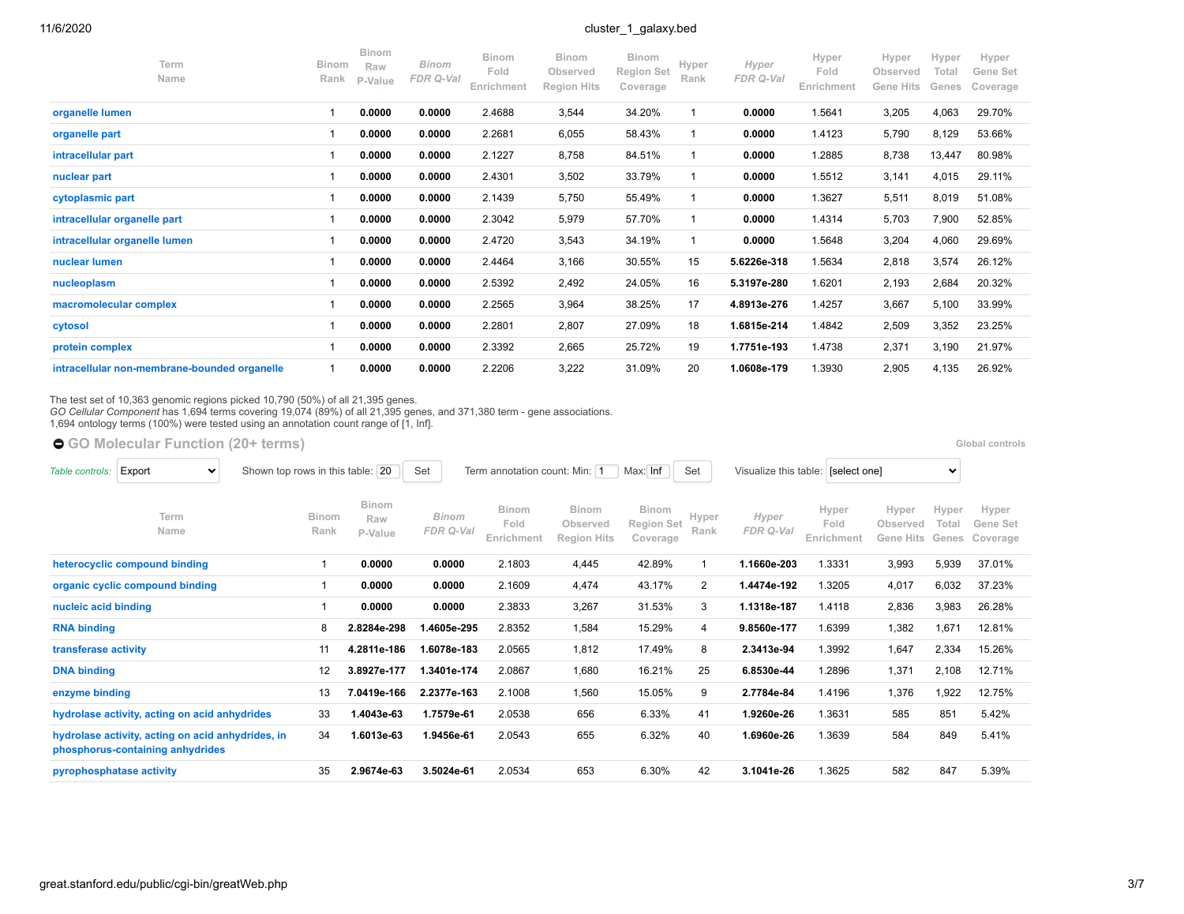| Term<br>Name                                 | Binom<br>Rank | <b>Binom</b><br>Raw<br>P-Value | <b>Binom</b><br>FDR Q-Val | <b>Binom</b><br>Fold<br>Enrichment | <b>Binom</b><br>Observed<br><b>Region Hits</b> | Binom<br><b>Region Set</b><br>Coverage | Hyper<br>Rank | Hyper<br>FDR Q-Val | Hyper<br>Fold<br>Enrichment | Hyper<br>Observed<br><b>Gene Hits</b> | Hyper<br>Total<br>Genes | Hyper<br>Gene Set<br>Coverage |
|----------------------------------------------|---------------|--------------------------------|---------------------------|------------------------------------|------------------------------------------------|----------------------------------------|---------------|--------------------|-----------------------------|---------------------------------------|-------------------------|-------------------------------|
| organelle lumen                              |               | 0.0000                         | 0.0000                    | 2.4688                             | 3,544                                          | 34.20%                                 |               | 0.0000             | 1.5641                      | 3,205                                 | 4,063                   | 29.70%                        |
| organelle part                               |               | 0.0000                         | 0.0000                    | 2.2681                             | 6,055                                          | 58.43%                                 |               | 0.0000             | 1.4123                      | 5,790                                 | 8,129                   | 53.66%                        |
| intracellular part                           |               | 0.0000                         | 0.0000                    | 2.1227                             | 8,758                                          | 84.51%                                 |               | 0.0000             | 1.2885                      | 8,738                                 | 13,447                  | 80.98%                        |
| nuclear part                                 |               | 0.0000                         | 0.0000                    | 2.4301                             | 3,502                                          | 33.79%                                 |               | 0.0000             | 1.5512                      | 3,141                                 | 4,015                   | 29.11%                        |
| cytoplasmic part                             |               | 0.0000                         | 0.0000                    | 2.1439                             | 5,750                                          | 55.49%                                 |               | 0.0000             | 1.3627                      | 5,511                                 | 8,019                   | 51.08%                        |
| intracellular organelle part                 |               | 0.0000                         | 0.0000                    | 2.3042                             | 5,979                                          | 57.70%                                 |               | 0.0000             | 1.4314                      | 5,703                                 | 7,900                   | 52.85%                        |
| intracellular organelle lumen                |               | 0.0000                         | 0.0000                    | 2.4720                             | 3,543                                          | 34.19%                                 |               | 0.0000             | 1.5648                      | 3,204                                 | 4,060                   | 29.69%                        |
| nuclear lumen                                |               | 0.0000                         | 0.0000                    | 2.4464                             | 3,166                                          | 30.55%                                 | 15            | 5.6226e-318        | 1.5634                      | 2,818                                 | 3,574                   | 26.12%                        |
| nucleoplasm                                  |               | 0.0000                         | 0.0000                    | 2.5392                             | 2,492                                          | 24.05%                                 | 16            | 5.3197e-280        | 1.6201                      | 2,193                                 | 2,684                   | 20.32%                        |
| macromolecular complex                       |               | 0.0000                         | 0.0000                    | 2.2565                             | 3,964                                          | 38.25%                                 | 17            | 4.8913e-276        | 1.4257                      | 3,667                                 | 5,100                   | 33.99%                        |
| cytosol                                      |               | 0.0000                         | 0.0000                    | 2.2801                             | 2,807                                          | 27.09%                                 | 18            | 1.6815e-214        | 1.4842                      | 2,509                                 | 3,352                   | 23.25%                        |
| protein complex                              |               | 0.0000                         | 0.0000                    | 2.3392                             | 2,665                                          | 25.72%                                 | 19            | 1.7751e-193        | 1.4738                      | 2,371                                 | 3,190                   | 21.97%                        |
| intracellular non-membrane-bounded organelle |               | 0.0000                         | 0.0000                    | 2.2206                             | 3,222                                          | 31.09%                                 | 20            | 1.0608e-179        | 1.3930                      | 2,905                                 | 4,135                   | 26.92%                        |

The test set of 10,363 genomic regions picked 10,790 (50%) of all 21,395 genes.<br>*GO Cellular Component* has 1,694 terms covering 19,074 (89%) of all 21,395 genes, and 371,380 term - gene associations.<br>1,694 ontology terms

● [GO Molecular Function](https://great-help.atlassian.net/wiki/spaces/GREAT/Gene+Ontology) (20+ terms) **Blooman Controls and Controls and Controls <b>Global controls Global controls** 

| Export<br>$\checkmark$<br>Table controls:                                             | Shown top rows in this table: | 20                             | Set                | Term annotation count: Min: 1 |                                                | Max: Inf<br>Set                               |                          | Visualize this table: | [select one]                |                                | $\checkmark$            |                               |
|---------------------------------------------------------------------------------------|-------------------------------|--------------------------------|--------------------|-------------------------------|------------------------------------------------|-----------------------------------------------|--------------------------|-----------------------|-----------------------------|--------------------------------|-------------------------|-------------------------------|
| Term<br>Name                                                                          | <b>Binom</b><br>Rank          | <b>Binom</b><br>Raw<br>P-Value | Binom<br>FDR Q-Val | Binom<br>Fold<br>Enrichment   | <b>Binom</b><br>Observed<br><b>Region Hits</b> | <b>Binom</b><br><b>Region Set</b><br>Coverage | Hyper<br>Rank            | Hyper<br>FDR Q-Val    | Hyper<br>Fold<br>Enrichment | Hyper<br>Observed<br>Gene Hits | Hyper<br>Total<br>Genes | Hyper<br>Gene Set<br>Coverage |
| heterocyclic compound binding                                                         |                               | 0.0000                         | 0.0000             | 2.1803                        | 4,445                                          | 42.89%                                        | $\overline{\phantom{a}}$ | 1.1660e-203           | 1.3331                      | 3,993                          | 5,939                   | 37.01%                        |
| organic cyclic compound binding                                                       |                               | 0.0000                         | 0.0000             | 2.1609                        | 4,474                                          | 43.17%                                        | $\overline{2}$           | 1.4474e-192           | 1.3205                      | 4,017                          | 6,032                   | 37.23%                        |
| nucleic acid binding                                                                  |                               | 0.0000                         | 0.0000             | 2.3833                        | 3,267                                          | 31.53%                                        | 3                        | 1.1318e-187           | 1.4118                      | 2,836                          | 3,983                   | 26.28%                        |
| <b>RNA binding</b>                                                                    | 8                             | 2.8284e-298                    | 1.4605e-295        | 2.8352                        | 1,584                                          | 15.29%                                        | 4                        | 9.8560e-177           | 1.6399                      | 1,382                          | 1,671                   | 12.81%                        |
| transferase activity                                                                  | 11                            | 4.2811e-186                    | 1.6078e-183        | 2.0565                        | 1,812                                          | 17.49%                                        | 8                        | 2.3413e-94            | 1.3992                      | 1,647                          | 2,334                   | 15.26%                        |
| <b>DNA binding</b>                                                                    | 12                            | 3.8927e-177                    | 1.3401e-174        | 2.0867                        | 1,680                                          | 16.21%                                        | 25                       | 6.8530e-44            | 1.2896                      | 1,371                          | 2,108                   | 12.71%                        |
| enzyme binding                                                                        | 13                            | 7.0419e-166                    | 2.2377e-163        | 2.1008                        | 1,560                                          | 15.05%                                        | 9                        | 2.7784e-84            | 1.4196                      | 1,376                          | 1,922                   | 12.75%                        |
| hydrolase activity, acting on acid anhydrides                                         | 33                            | 1.4043e-63                     | 1.7579e-61         | 2.0538                        | 656                                            | 6.33%                                         | 41                       | 1.9260e-26            | 1.3631                      | 585                            | 851                     | 5.42%                         |
| hydrolase activity, acting on acid anhydrides, in<br>phosphorus-containing anhydrides | 34                            | 1.6013e-63                     | 1.9456e-61         | 2.0543                        | 655                                            | 6.32%                                         | 40                       | 1.6960e-26            | 1.3639                      | 584                            | 849                     | 5.41%                         |
| pyrophosphatase activity                                                              | 35                            | 2.9674e-63                     | 3.5024e-61         | 2.0534                        | 653                                            | 6.30%                                         | 42                       | 3.1041e-26            | 1.3625                      | 582                            | 847                     | 5.39%                         |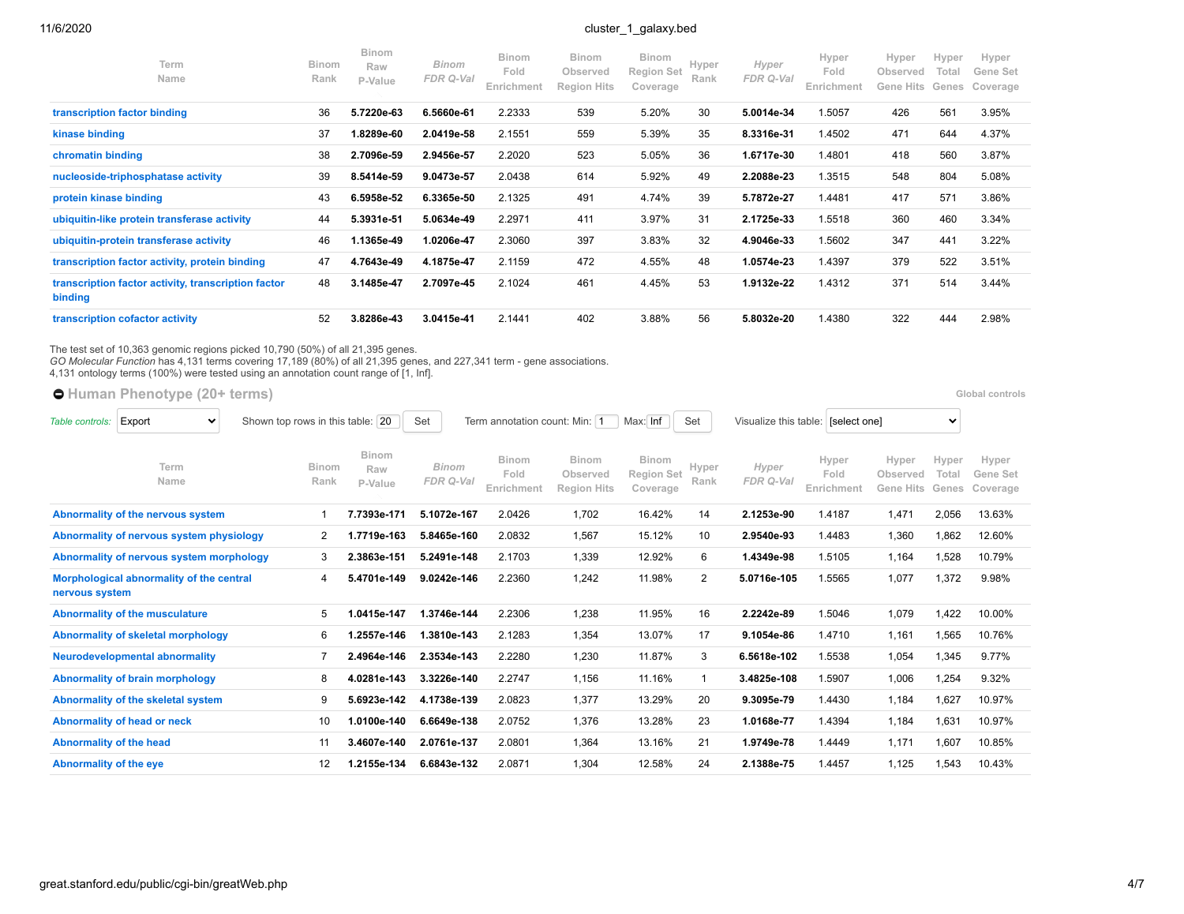| Term<br>Name                                                   | <b>Binom</b><br>Rank | <b>Binom</b><br>Raw<br>P-Value | Binom<br>FDR Q-Val | <b>Binom</b><br>Fold<br>Enrichment | <b>Binom</b><br>Observed<br><b>Region Hits</b> | <b>Binom</b><br><b>Region Set</b><br>Coverage | Hyper<br>Rank | Hyper<br>FDR Q-Val | Hyper<br>Fold<br>Enrichment | Hyper<br>Observed<br>Gene Hits | Hyper<br>Total<br>Genes | Hyper<br>Gene Set<br>Coverage |
|----------------------------------------------------------------|----------------------|--------------------------------|--------------------|------------------------------------|------------------------------------------------|-----------------------------------------------|---------------|--------------------|-----------------------------|--------------------------------|-------------------------|-------------------------------|
| transcription factor binding                                   | 36                   | 5.7220e-63                     | 6.5660e-61         | 2.2333                             | 539                                            | 5.20%                                         | 30            | 5.0014e-34         | 1.5057                      | 426                            | 561                     | 3.95%                         |
| kinase binding                                                 | 37                   | 1.8289e-60                     | 2.0419e-58         | 2.1551                             | 559                                            | 5.39%                                         | 35            | 8.3316e-31         | 1.4502                      | 471                            | 644                     | 4.37%                         |
| chromatin binding                                              | 38                   | 2.7096e-59                     | 2.9456e-57         | 2.2020                             | 523                                            | 5.05%                                         | 36            | 1.6717e-30         | 1.4801                      | 418                            | 560                     | 3.87%                         |
| nucleoside-triphosphatase activity                             | 39                   | 8.5414e-59                     | 9.0473e-57         | 2.0438                             | 614                                            | 5.92%                                         | 49            | 2.2088e-23         | 1.3515                      | 548                            | 804                     | 5.08%                         |
| protein kinase binding                                         | 43                   | 6.5958e-52                     | 6.3365e-50         | 2.1325                             | 491                                            | 4.74%                                         | 39            | 5.7872e-27         | 1.4481                      | 417                            | 571                     | 3.86%                         |
| ubiquitin-like protein transferase activity                    | 44                   | 5.3931e-51                     | 5.0634e-49         | 2.2971                             | 411                                            | 3.97%                                         | 31            | 2.1725e-33         | 1.5518                      | 360                            | 460                     | 3.34%                         |
| ubiquitin-protein transferase activity                         | 46                   | 1.1365e-49                     | 1.0206e-47         | 2.3060                             | 397                                            | 3.83%                                         | 32            | 4.9046e-33         | 1.5602                      | 347                            | 441                     | 3.22%                         |
| transcription factor activity, protein binding                 | 47                   | 4.7643e-49                     | 4.1875e-47         | 2.1159                             | 472                                            | 4.55%                                         | 48            | 1.0574e-23         | 1.4397                      | 379                            | 522                     | 3.51%                         |
| transcription factor activity, transcription factor<br>binding | 48                   | 3.1485e-47                     | 2.7097e-45         | 2.1024                             | 461                                            | 4.45%                                         | 53            | 1.9132e-22         | 1.4312                      | 371                            | 514                     | 3.44%                         |
| transcription cofactor activity                                | 52                   | 3.8286e-43                     | 3.0415e-41         | 2.1441                             | 402                                            | 3.88%                                         | 56            | 5.8032e-20         | 1.4380                      | 322                            | 444                     | 2.98%                         |

The test set of 10,363 genomic regions picked 10,790 (50%) of all 21,395 genes.<br>*GO Molecular Function* has 4,131 terms covering 17,189 (80%) of all 21,395 genes, and 227,341 term - gene associations.<br>4,131 ontology terms

**[Human Phenotype](https://great-help.atlassian.net/wiki/spaces/GREAT/Human+Phenotype) (20+ terms) [Global controls](http://great.stanford.edu/public/cgi-bin/greatWeb.php#global_controls_header) Global controls Global controls** 

| Export<br>Table controls:<br>$\checkmark$ | Shown top rows in this table:            | 20                   | Set                     | Term annotation count: Min: 1 |                                    | Max: Inf                                       | Set                                    | Visualize this table: [select one] |                    |                             | $\checkmark$                          |                         |                               |
|-------------------------------------------|------------------------------------------|----------------------|-------------------------|-------------------------------|------------------------------------|------------------------------------------------|----------------------------------------|------------------------------------|--------------------|-----------------------------|---------------------------------------|-------------------------|-------------------------------|
|                                           | Term<br>Name                             | <b>Binom</b><br>Rank | Binom<br>Raw<br>P-Value | <b>Binom</b><br>FDR Q-Val     | <b>Binom</b><br>Fold<br>Enrichment | <b>Binom</b><br>Observed<br><b>Region Hits</b> | <b>Binom</b><br>Region Set<br>Coverage | Hyper<br>Rank                      | Hyper<br>FDR Q-Val | Hyper<br>Fold<br>Enrichment | Hyper<br>Observed<br><b>Gene Hits</b> | Hyper<br>Total<br>Genes | Hyper<br>Gene Set<br>Coverage |
|                                           | Abnormality of the nervous system        |                      | 7.7393e-171             | 5.1072e-167                   | 2.0426                             | 1,702                                          | 16.42%                                 | 14                                 | 2.1253e-90         | 1.4187                      | 1,471                                 | 2.056                   | 13.63%                        |
|                                           | Abnormality of nervous system physiology | 2                    | 1.7719e-163             | 5.8465e-160                   | 2.0832                             | 1,567                                          | 15.12%                                 | 10                                 | 2.9540e-93         | 1.4483                      | 1,360                                 | 1,862                   | 12.60%                        |
|                                           | Abnormality of nervous system morphology | 3                    | 2.3863e-151             | 5.2491e-148                   | 2.1703                             | 1,339                                          | 12.92%                                 | 6                                  | 1.4349e-98         | 1.5105                      | 1,164                                 | 1,528                   | 10.79%                        |
| nervous system                            | Morphological abnormality of the central | 4                    | 5.4701e-149             | 9.0242e-146                   | 2.2360                             | 1,242                                          | 11.98%                                 | $\overline{2}$                     | 5.0716e-105        | 1.5565                      | 1,077                                 | 1,372                   | 9.98%                         |
|                                           | Abnormality of the musculature           | 5                    | 1.0415e-147             | 1.3746e-144                   | 2.2306                             | 1,238                                          | 11.95%                                 | 16                                 | 2.2242e-89         | 1.5046                      | 1,079                                 | 1,422                   | 10.00%                        |
|                                           | Abnormality of skeletal morphology       | 6                    | 1.2557e-146             | 1.3810e-143                   | 2.1283                             | 1,354                                          | 13.07%                                 | 17                                 | 9.1054e-86         | 1.4710                      | 1,161                                 | 1,565                   | 10.76%                        |
|                                           | <b>Neurodevelopmental abnormality</b>    |                      | 2.4964e-146             | 2.3534e-143                   | 2.2280                             | 1,230                                          | 11.87%                                 | 3                                  | 6.5618e-102        | 1.5538                      | 1,054                                 | 1,345                   | 9.77%                         |
|                                           | <b>Abnormality of brain morphology</b>   | 8                    | 4.0281e-143             | 3.3226e-140                   | 2.2747                             | 1,156                                          | 11.16%                                 | $\mathbf 1$                        | 3.4825e-108        | 1.5907                      | 1,006                                 | 1,254                   | 9.32%                         |
|                                           | Abnormality of the skeletal system       | 9                    | 5.6923e-142             | 4.1738e-139                   | 2.0823                             | 1,377                                          | 13.29%                                 | 20                                 | 9.3095e-79         | 1.4430                      | 1,184                                 | 1.627                   | 10.97%                        |
|                                           | Abnormality of head or neck              | 10                   | 1.0100e-140             | 6.6649e-138                   | 2.0752                             | 1,376                                          | 13.28%                                 | 23                                 | 1.0168e-77         | 1.4394                      | 1,184                                 | 1,631                   | 10.97%                        |
| Abnormality of the head                   |                                          | 11                   | 3.4607e-140             | 2.0761e-137                   | 2.0801                             | 1,364                                          | 13.16%                                 | 21                                 | 1.9749e-78         | 1.4449                      | 1,171                                 | 1,607                   | 10.85%                        |
| Abnormality of the eye                    |                                          | 12                   | 1.2155e-134             | 6.6843e-132                   | 2.0871                             | 1,304                                          | 12.58%                                 | 24                                 | 2.1388e-75         | 1.4457                      | 1,125                                 | 1,543                   | 10.43%                        |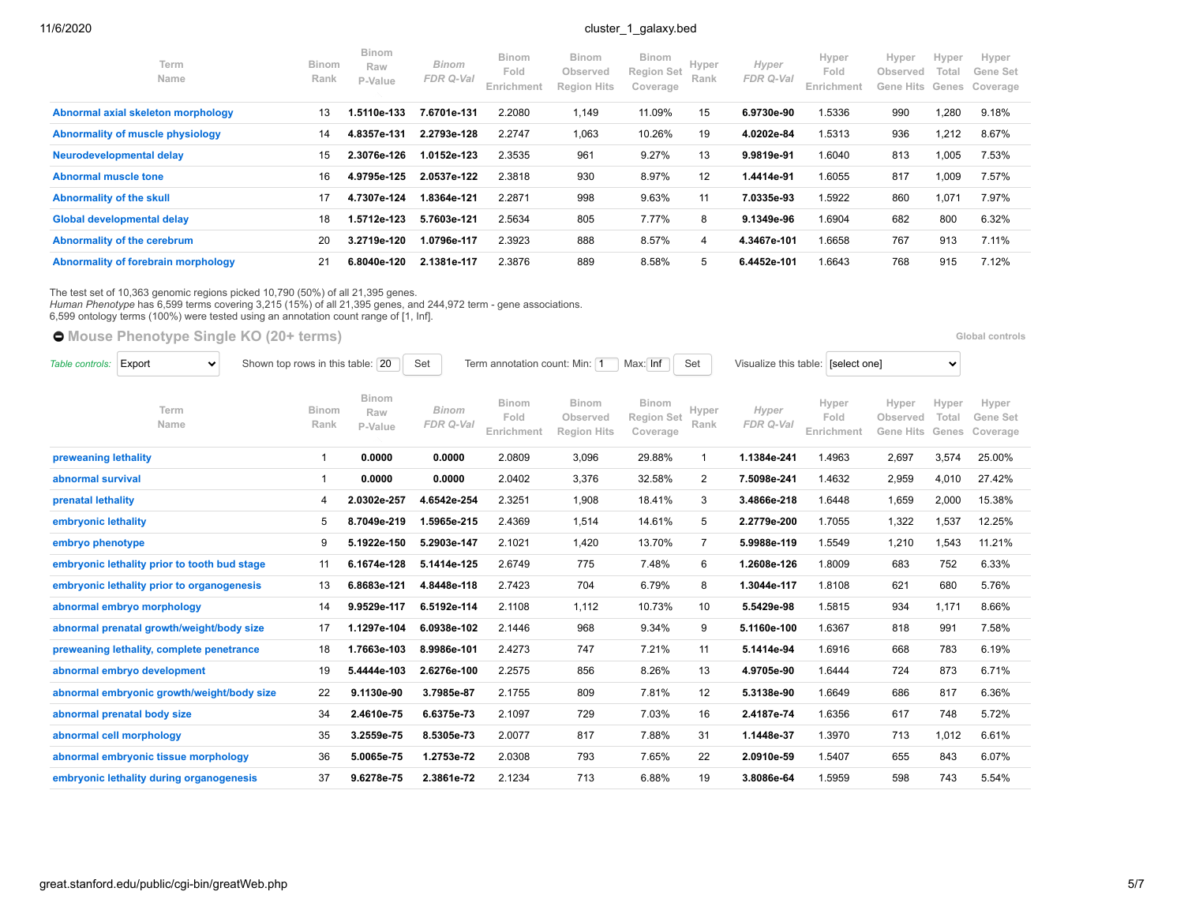| Term<br><b>Name</b>                 | <b>Binom</b><br>Rank | <b>Binom</b><br>Raw<br>P-Value | <b>Binom</b><br>FDR Q-Val | <b>Binom</b><br>Fold<br>Enrichment | <b>Binom</b><br>Observed<br><b>Region Hits</b> | <b>Binom</b><br><b>Region Set</b><br>Coverage | Hyper<br>Rank | Hyper<br>FDR Q-Val | Hyper<br>Fold<br>Enrichment | Hyper<br>Observed<br>Gene Hits | Hyper<br>Total<br>Genes | Hyper<br>Gene Set<br>Coverage |
|-------------------------------------|----------------------|--------------------------------|---------------------------|------------------------------------|------------------------------------------------|-----------------------------------------------|---------------|--------------------|-----------------------------|--------------------------------|-------------------------|-------------------------------|
| Abnormal axial skeleton morphology  | 13                   | 1.5110e-133                    | 7.6701e-131               | 2.2080                             | 1,149                                          | 11.09%                                        | 15            | 6.9730e-90         | 1.5336                      | 990                            | 1,280                   | 9.18%                         |
| Abnormality of muscle physiology    | 14                   | 4.8357e-131                    | 2.2793e-128               | 2.2747                             | 1,063                                          | 10.26%                                        | 19            | 4.0202e-84         | 1.5313                      | 936                            | 1,212                   | 8.67%                         |
| Neurodevelopmental delay            | 15                   | 2.3076e-126                    | 1.0152e-123               | 2.3535                             | 961                                            | 9.27%                                         | 13            | 9.9819e-91         | 1.6040                      | 813                            | 1,005                   | 7.53%                         |
| Abnormal muscle tone                | 16                   | 4.9795e-125                    | 2.0537e-122               | 2.3818                             | 930                                            | 8.97%                                         | 12            | 1.4414e-91         | 1.6055                      | 817                            | 1,009                   | 7.57%                         |
| <b>Abnormality of the skull</b>     | 17                   | 4.7307e-124                    | 1.8364e-121               | 2.2871                             | 998                                            | 9.63%                                         | 11            | 7.0335e-93         | 1.5922                      | 860                            | 1,071                   | 7.97%                         |
| Global developmental delay          | 18                   | 1.5712e-123                    | 5.7603e-121               | 2.5634                             | 805                                            | 7.77%                                         | 8             | 9.1349e-96         | 1.6904                      | 682                            | 800                     | 6.32%                         |
| Abnormality of the cerebrum         | 20                   | 3.2719e-120                    | 1.0796e-117               | 2.3923                             | 888                                            | 8.57%                                         | 4             | 4.3467e-101        | 1.6658                      | 767                            | 913                     | 7.11%                         |
| Abnormality of forebrain morphology | 21                   | 6.8040e-120                    | 2.1381e-117               | 2.3876                             | 889                                            | 8.58%                                         | 5             | 6.4452e-101        | 1.6643                      | 768                            | 915                     | 7.12%                         |

The test set of 10,363 genomic regions picked 10,790 (50%) of all 21,395 genes.

*Human Phenotype* has 6,599 terms covering 3,215 (15%) of all 21,395 genes, and 244,972 term - gene associations.

6,599 ontology terms (100%) were tested using an annotation count range of [1, Inf].

|                      | <b>O</b> Mouse Phenotype Single KO (20+ terms) |                                  |                                |                    |                                    |                                                |                                               |                |                       |                             |                                |                         | Global controls               |
|----------------------|------------------------------------------------|----------------------------------|--------------------------------|--------------------|------------------------------------|------------------------------------------------|-----------------------------------------------|----------------|-----------------------|-----------------------------|--------------------------------|-------------------------|-------------------------------|
| Table controls:      | Export<br>$\checkmark$                         | Shown top rows in this table: 20 |                                | Set                | Term annotation count: Min: 1      |                                                | Max: Inf                                      | Set            | Visualize this table: | [select one]                |                                | $\checkmark$            |                               |
|                      | Term<br>Name                                   | Binom<br>Rank                    | <b>Binom</b><br>Raw<br>P-Value | Binom<br>FDR Q-Val | <b>Binom</b><br>Fold<br>Enrichment | <b>Binom</b><br>Observed<br><b>Region Hits</b> | <b>Binom</b><br><b>Region Set</b><br>Coverage | Hyper<br>Rank  | Hyper<br>FDR Q-Val    | Hyper<br>Fold<br>Enrichment | Hyper<br>Observed<br>Gene Hits | Hyper<br>Total<br>Genes | Hyper<br>Gene Set<br>Coverage |
| preweaning lethality |                                                | $\mathbf 1$                      | 0.0000                         | 0.0000             | 2.0809                             | 3,096                                          | 29.88%                                        | -1             | 1.1384e-241           | 1.4963                      | 2,697                          | 3,574                   | 25.00%                        |
| abnormal survival    |                                                |                                  | 0.0000                         | 0.0000             | 2.0402                             | 3,376                                          | 32.58%                                        | 2              | 7.5098e-241           | 1.4632                      | 2,959                          | 4,010                   | 27.42%                        |
| prenatal lethality   |                                                | 4                                | 2.0302e-257                    | 4.6542e-254        | 2.3251                             | 1,908                                          | 18.41%                                        | 3              | 3.4866e-218           | 1.6448                      | 1,659                          | 2,000                   | 15.38%                        |
| embryonic lethality  |                                                | 5                                | 8.7049e-219                    | .5965e-215         | 2.4369                             | 1,514                                          | 14.61%                                        | 5              | 2.2779e-200           | 1.7055                      | 1,322                          | 1,537                   | 12.25%                        |
| embryo phenotype     |                                                | 9                                | 5.1922e-150                    | 5.2903e-147        | 2.1021                             | 1,420                                          | 13.70%                                        | $\overline{7}$ | 5.9988e-119           | 1.5549                      | 1,210                          | 1,543                   | 11.21%                        |
|                      | embryonic lethality prior to tooth bud stage   | 11                               | 6.1674e-128                    | 5.1414e-125        | 2.6749                             | 775                                            | 7.48%                                         | 6              | 1.2608e-126           | 1.8009                      | 683                            | 752                     | 6.33%                         |
|                      | embryonic lethality prior to organogenesis     | 13                               | 6.8683e-121                    | 4.8448e-118        | 2.7423                             | 704                                            | 6.79%                                         | 8              | 1.3044e-117           | 1.8108                      | 621                            | 680                     | 5.76%                         |
|                      | abnormal embryo morphology                     | 14                               | 9.9529e-117                    | 6.5192e-114        | 2.1108                             | 1,112                                          | 10.73%                                        | 10             | 5.5429e-98            | 1.5815                      | 934                            | 1,171                   | 8.66%                         |
|                      | abnormal prenatal growth/weight/body size      | 17                               | 1.1297e-104                    | 6.0938e-102        | 2.1446                             | 968                                            | 9.34%                                         | 9              | 5.1160e-100           | 1.6367                      | 818                            | 991                     | 7.58%                         |

**[preweaning lethality, complete penetrance](http://great.stanford.edu/public/cgi-bin/showTermDetails.php?termId=MP:0011100&ontoName=MGIPhenoSingleKO&species=mm10&ontoUiName=Mouse%20Phenotype%20Single%20KO&foreName=cluster_1_galaxy.bed&backName=&sessionName=20201106-public-4.0.4-pOiBTG)** 18 **1.7663e-103 8.9986e-101** 2.4273 747 7.21% 11 **5.1414e-94** 1.6916 668 783 6.19% **[abnormal embryo development](http://great.stanford.edu/public/cgi-bin/showTermDetails.php?termId=MP:0001672&ontoName=MGIPhenoSingleKO&species=mm10&ontoUiName=Mouse%20Phenotype%20Single%20KO&foreName=cluster_1_galaxy.bed&backName=&sessionName=20201106-public-4.0.4-pOiBTG)** 19 **5.4444e-103 2.6276e-100** 2.2575 856 8.26% 13 **4.9705e-90** 1.6444 724 873 6.71% **[abnormal embryonic growth/weight/body size](http://great.stanford.edu/public/cgi-bin/showTermDetails.php?termId=MP:0002088&ontoName=MGIPhenoSingleKO&species=mm10&ontoUiName=Mouse%20Phenotype%20Single%20KO&foreName=cluster_1_galaxy.bed&backName=&sessionName=20201106-public-4.0.4-pOiBTG)** 22 **9.1130e-90 3.7985e-87** 2.1755 809 7.81% 12 **5.3138e-90** 1.6649 686 817 6.36% **[abnormal prenatal body size](http://great.stanford.edu/public/cgi-bin/showTermDetails.php?termId=MP:0010866&ontoName=MGIPhenoSingleKO&species=mm10&ontoUiName=Mouse%20Phenotype%20Single%20KO&foreName=cluster_1_galaxy.bed&backName=&sessionName=20201106-public-4.0.4-pOiBTG)** 34 **2.4610e-75 6.6375e-73** 2.1097 729 7.03% 16 **2.4187e-74** 1.6356 617 748 5.72% **[abnormal cell morphology](http://great.stanford.edu/public/cgi-bin/showTermDetails.php?termId=MP:0000358&ontoName=MGIPhenoSingleKO&species=mm10&ontoUiName=Mouse%20Phenotype%20Single%20KO&foreName=cluster_1_galaxy.bed&backName=&sessionName=20201106-public-4.0.4-pOiBTG)** 35 **3.2559e-75 8.5305e-73** 2.0077 817 7.88% 31 **1.1448e-37** 1.3970 713 1,012 6.61% **[abnormal embryonic tissue morphology](http://great.stanford.edu/public/cgi-bin/showTermDetails.php?termId=MP:0002085&ontoName=MGIPhenoSingleKO&species=mm10&ontoUiName=Mouse%20Phenotype%20Single%20KO&foreName=cluster_1_galaxy.bed&backName=&sessionName=20201106-public-4.0.4-pOiBTG)** 36 **5.0065e-75 1.2753e-72** 2.0308 793 7.65% 22 **2.0910e-59** 1.5407 655 843 6.07% **[embryonic lethality during organogenesis](http://great.stanford.edu/public/cgi-bin/showTermDetails.php?termId=MP:0006207&ontoName=MGIPhenoSingleKO&species=mm10&ontoUiName=Mouse%20Phenotype%20Single%20KO&foreName=cluster_1_galaxy.bed&backName=&sessionName=20201106-public-4.0.4-pOiBTG)** 37 **9.6278e-75 2.3861e-72** 2.1234 713 6.88% 19 **3.8086e-64** 1.5959 598 743 5.54%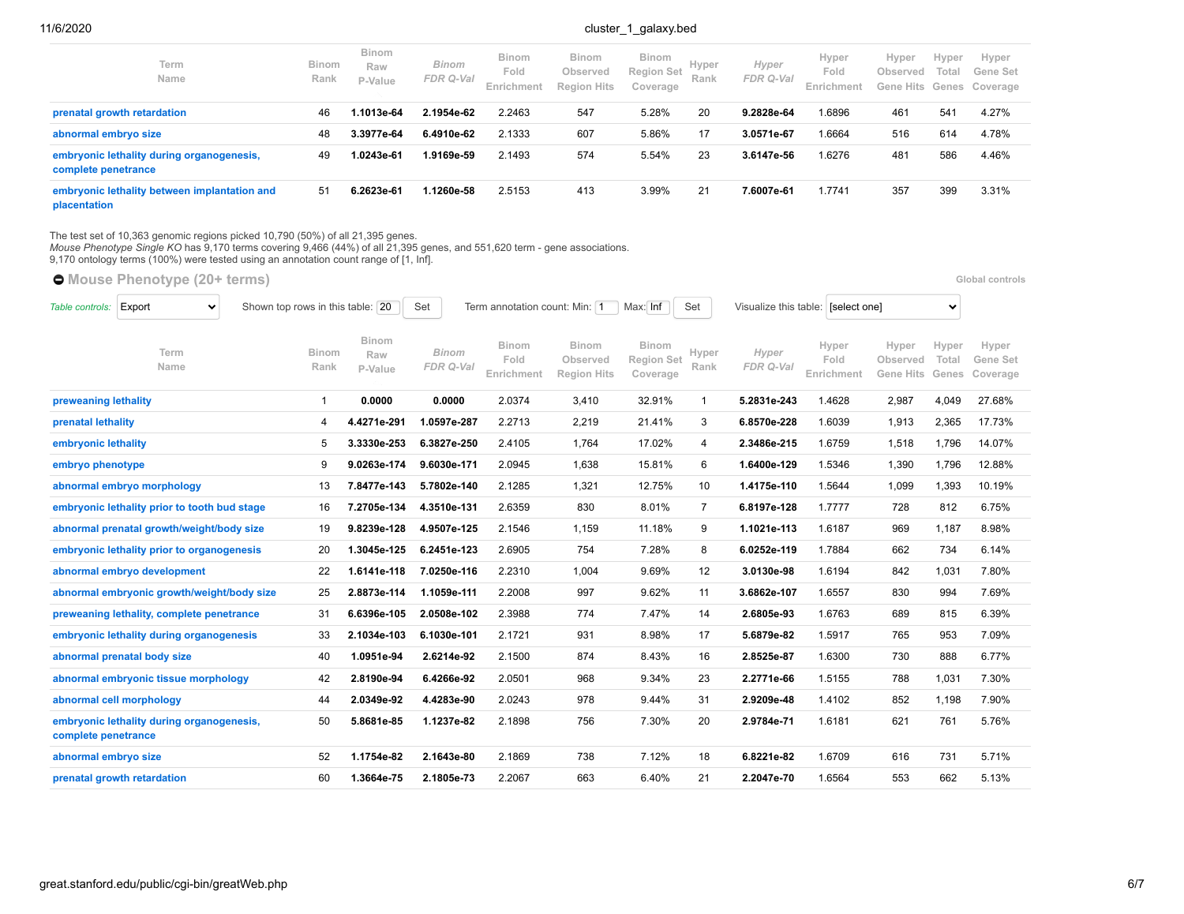| Term<br>Name                                                     | <b>Binom</b><br>Rank | <b>Binom</b><br>Raw<br>P-Value | Binom<br>FDR Q-Val | <b>Binom</b><br>Fold<br>Enrichment | <b>Binom</b><br>Observed<br><b>Region Hits</b> | <b>Binom</b><br>Region Set<br>Coverage | Hyper<br>Rank | Hyper<br>FDR Q-Val | Hyper<br>Fold<br>Enrichment | Hyper<br>Observed | Hyper<br>Total | Hyper<br>Gene Set<br>Gene Hits Genes Coverage |
|------------------------------------------------------------------|----------------------|--------------------------------|--------------------|------------------------------------|------------------------------------------------|----------------------------------------|---------------|--------------------|-----------------------------|-------------------|----------------|-----------------------------------------------|
| prenatal growth retardation                                      | 46                   | 1.1013e-64                     | 2.1954e-62         | 2.2463                             | 547                                            | 5.28%                                  | 20            | 9.2828e-64         | 1.6896                      | 461               | 541            | 4.27%                                         |
| abnormal embryo size                                             | 48                   | 3.3977e-64                     | 6.4910e-62         | 2.1333                             | 607                                            | 5.86%                                  | 17            | 3.0571e-67         | 1.6664                      | 516               | 614            | 4.78%                                         |
| embryonic lethality during organogenesis,<br>complete penetrance | -49                  | 1.0243e-61                     | 1.9169e-59         | 2.1493                             | 574                                            | 5.54%                                  | 23            | 3.6147e-56         | 1.6276                      | 481               | 586            | 4.46%                                         |
| embryonic lethality between implantation and<br>placentation     | 51                   | 6.2623e-61                     | 1.1260e-58         | 2.5153                             | 413                                            | 3.99%                                  | 21            | 7.6007e-61         | 1.7741                      | 357               | 399            | 3.31%                                         |

The test set of 10,363 genomic regions picked 10,790 (50%) of all 21,395 genes.<br>*Mouse Phenotype Single KO* has 9,170 terms covering 9,466 (44%) of all 21,395 genes, and 551,620 term - gene associations.<br>9,170 ontology ter

**C** [Mouse Phenotype](https://great-help.atlassian.net/wiki/spaces/GREAT/Mouse+Phenotype) (20+ terms) **Global controls Global controls** 

| Table controls:      | Export<br>$\checkmark$                       | Shown top rows in this table: 20 |                                | Set                       | Term annotation count: Min: 1      |                                                | Max: Inf                                      | Set           | Visualize this table: [select one] |                             |                                       | $\checkmark$            |                               |
|----------------------|----------------------------------------------|----------------------------------|--------------------------------|---------------------------|------------------------------------|------------------------------------------------|-----------------------------------------------|---------------|------------------------------------|-----------------------------|---------------------------------------|-------------------------|-------------------------------|
|                      | Term<br>Name                                 | <b>Binom</b><br>Rank             | <b>Binom</b><br>Raw<br>P-Value | <b>Binom</b><br>FDR Q-Val | <b>Binom</b><br>Fold<br>Enrichment | <b>Binom</b><br>Observed<br><b>Region Hits</b> | <b>Binom</b><br><b>Region Set</b><br>Coverage | Hyper<br>Rank | Hyper<br>FDR Q-Val                 | Hyper<br>Fold<br>Enrichment | Hyper<br>Observed<br><b>Gene Hits</b> | Hyper<br>Total<br>Genes | Hyper<br>Gene Set<br>Coverage |
| preweaning lethality |                                              | $\overline{1}$                   | 0.0000                         | 0.0000                    | 2.0374                             | 3,410                                          | 32.91%                                        | $\mathbf{1}$  | 5.2831e-243                        | 1.4628                      | 2,987                                 | 4,049                   | 27.68%                        |
| prenatal lethality   |                                              | 4                                | 4.4271e-291                    | 1.0597e-287               | 2.2713                             | 2,219                                          | 21.41%                                        | 3             | 6.8570e-228                        | 1.6039                      | 1,913                                 | 2,365                   | 17.73%                        |
| embryonic lethality  |                                              | 5                                | 3.3330e-253                    | 6.3827e-250               | 2.4105                             | 1,764                                          | 17.02%                                        | 4             | 2.3486e-215                        | 1.6759                      | 1,518                                 | 1,796                   | 14.07%                        |
| embryo phenotype     |                                              | 9                                | 9.0263e-174                    | 9.6030e-171               | 2.0945                             | 1,638                                          | 15.81%                                        | 6             | 1.6400e-129                        | 1.5346                      | 1,390                                 | 1,796                   | 12.88%                        |
|                      | abnormal embryo morphology                   | 13                               | 7.8477e-143                    | 5.7802e-140               | 2.1285                             | 1,321                                          | 12.75%                                        | 10            | 1.4175e-110                        | 1.5644                      | 1,099                                 | 1,393                   | 10.19%                        |
|                      | embryonic lethality prior to tooth bud stage | 16                               | 7.2705e-134                    | 4.3510e-131               | 2.6359                             | 830                                            | 8.01%                                         | 7             | 6.8197e-128                        | 1.7777                      | 728                                   | 812                     | 6.75%                         |
|                      | abnormal prenatal growth/weight/body size    | 19                               | 9.8239e-128                    | 4.9507e-125               | 2.1546                             | 1,159                                          | 11.18%                                        | 9             | 1.1021e-113                        | 1.6187                      | 969                                   | 1,187                   | 8.98%                         |
|                      | embryonic lethality prior to organogenesis   | 20                               | 1.3045e-125                    | 6.2451e-123               | 2.6905                             | 754                                            | 7.28%                                         | 8             | 6.0252e-119                        | 1.7884                      | 662                                   | 734                     | 6.14%                         |
|                      | abnormal embryo development                  | 22                               | 1.6141e-118                    | 7.0250e-116               | 2.2310                             | 1,004                                          | 9.69%                                         | 12            | 3.0130e-98                         | 1.6194                      | 842                                   | 1,031                   | 7.80%                         |
|                      | abnormal embryonic growth/weight/body size   | 25                               | 2.8873e-114                    | 1.1059e-111               | 2.2008                             | 997                                            | 9.62%                                         | 11            | 3.6862e-107                        | 1.6557                      | 830                                   | 994                     | 7.69%                         |
|                      | preweaning lethality, complete penetrance    | 31                               | 6.6396e-105                    | 2.0508e-102               | 2.3988                             | 774                                            | 7.47%                                         | 14            | 2.6805e-93                         | 1.6763                      | 689                                   | 815                     | 6.39%                         |
|                      | embryonic lethality during organogenesis     | 33                               | 2.1034e-103                    | 6.1030e-101               | 2.1721                             | 931                                            | 8.98%                                         | 17            | 5.6879e-82                         | 1.5917                      | 765                                   | 953                     | 7.09%                         |
|                      | abnormal prenatal body size                  | 40                               | 1.0951e-94                     | 2.6214e-92                | 2.1500                             | 874                                            | 8.43%                                         | 16            | 2.8525e-87                         | 1.6300                      | 730                                   | 888                     | 6.77%                         |
|                      | abnormal embryonic tissue morphology         | 42                               | 2.8190e-94                     | 6.4266e-92                | 2.0501                             | 968                                            | 9.34%                                         | 23            | 2.2771e-66                         | 1.5155                      | 788                                   | 1,031                   | 7.30%                         |
|                      | abnormal cell morphology                     | 44                               | 2.0349e-92                     | 4.4283e-90                | 2.0243                             | 978                                            | 9.44%                                         | 31            | 2.9209e-48                         | 1.4102                      | 852                                   | 1,198                   | 7.90%                         |
| complete penetrance  | embryonic lethality during organogenesis,    | 50                               | 5.8681e-85                     | 1.1237e-82                | 2.1898                             | 756                                            | 7.30%                                         | 20            | 2.9784e-71                         | 1.6181                      | 621                                   | 761                     | 5.76%                         |
| abnormal embryo size |                                              | 52                               | 1.1754e-82                     | 2.1643e-80                | 2.1869                             | 738                                            | 7.12%                                         | 18            | 6.8221e-82                         | 1.6709                      | 616                                   | 731                     | 5.71%                         |
|                      | prenatal growth retardation                  | 60                               | 1.3664e-75                     | 2.1805e-73                | 2.2067                             | 663                                            | 6.40%                                         | 21            | 2.2047e-70                         | 1.6564                      | 553                                   | 662                     | 5.13%                         |